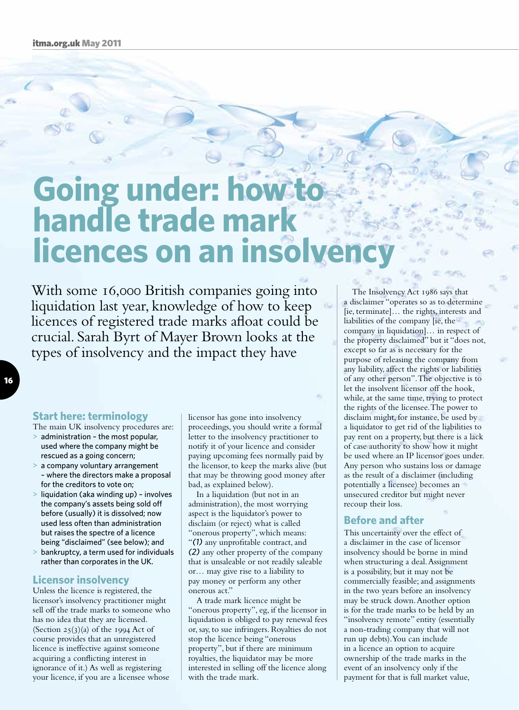# **Going under: how handle trade mar licences on an insol**

With some 16,000 British companies going into liquidation last year, knowledge of how to keep licences of registered trade marks afloat could be crucial. Sarah Byrt of Mayer Brown looks at the types of insolvency and the impact they have

## **Start here: terminology**

- The main UK insolvency procedures are:
- > administration the most popular, used where the company might be rescued as a going concern;
- > a company voluntary arrangement – where the directors make a proposal for the creditors to vote on;
- $>$  liquidation (aka winding up) involves the company's assets being sold off before (usually) it is dissolved; now used less often than administration but raises the spectre of a licence being "disclaimed" (see below); and
- > bankruptcy, a term used for individuals rather than corporates in the UK.

#### **Licensor insolvency**

Unless the licence is registered, the licensor's insolvency practitioner might sell off the trade marks to someone who has no idea that they are licensed. (Section  $25(3)(a)$  of the 1994 Act of course provides that an unregistered licence is ineffective against someone acquiring a conflicting interest in ignorance of it.) As well as registering your licence, if you are a licensee whose

licensor has gone into insolvency proceedings, you should write a formal letter to the insolvency practitioner to notify it of your licence and consider paying upcoming fees normally paid by the licensor, to keep the marks alive (but that may be throwing good money after bad, as explained below).

In a liquidation (but not in an administration), the most worrying aspect is the liquidator's power to disclaim (or reject) what is called "onerous property", which means: "*(1)* any unprofitable contract, and *(2)* any other property of the company that is unsaleable or not readily saleable or… may give rise to a liability to pay money or perform any other onerous act."

A trade mark licence might be "onerous property", eg, if the licensor in liquidation is obliged to pay renewal fees or, say, to sue infringers. Royalties do not stop the licence being "onerous property", but if there are minimum royalties, the liquidator may be more interested in selling off the licence along with the trade mark.

The Insolvency Act 1986 says that a disclaimer "operates so as to determine [ie, terminate]… the rights, interests and liabilities of the company [ie, the company in liquidation]… in respect of the property disclaimed" but it "does not, except so far as is necessary for the purpose of releasing the company from any liability, affect the rights or liabilities of any other person". The objective is to let the insolvent licensor off the hook, while, at the same time, trying to protect the rights of the licensee. The power to disclaim might, for instance, be used by a liquidator to get rid of the liabilities to pay rent on a property, but there is a lack of case authority to show how it might be used where an IP licensor goes under. Any person who sustains loss or damage as the result of a disclaimer (including potentially a licensee) becomes an unsecured creditor but might never recoup their loss.

#### **Before and after**

This uncertainty over the effect of a disclaimer in the case of licensor insolvency should be borne in mind when structuring a deal. Assignment is a possibility, but it may not be commercially feasible; and assignments in the two years before an insolvency may be struck down. Another option is for the trade marks to be held by an "insolvency remote" entity (essentially a non-trading company that will not run up debts). You can include in a licence an option to acquire ownership of the trade marks in the event of an insolvency only if the payment for that is full market value,